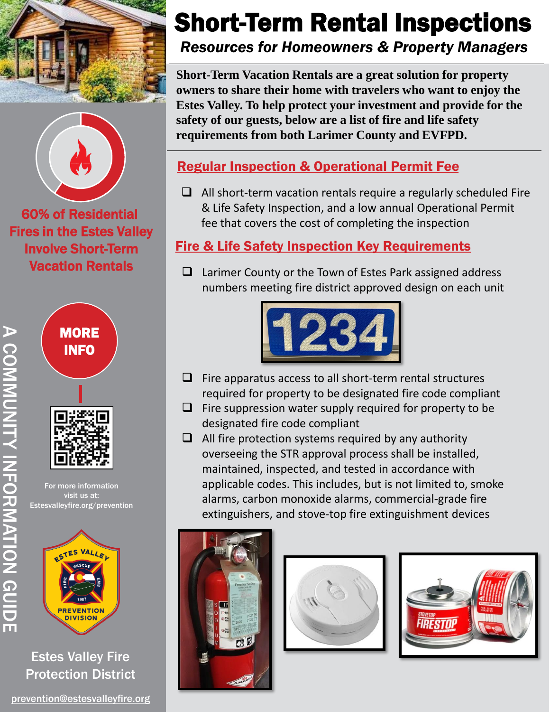



60% of Residential Fires in the Estes Valley Involve Short-Term Vacation Rentals





For more information visit us at: Estesvalleyfire.org/prevention

A COMMUNITY INFORMATION GUIDE

**A CONNUNTATIVE MATON GUIDE** 



Estes Valley Fire Protection District

# Short-Term Rental Inspections

*Resources for Homeowners & Property Managers*

**Short-Term Vacation Rentals are a great solution for property owners to share their home with travelers who want to enjoy the Estes Valley. To help protect your investment and provide for the safety of our guests, below are a list of fire and life safety requirements from both Larimer County and EVFPD.** 

### Regular Inspection & Operational Permit Fee

 $\Box$  All short-term vacation rentals require a regularly scheduled Fire & Life Safety Inspection, and a low annual Operational Permit fee that covers the cost of completing the inspection

#### Fire & Life Safety Inspection Key Requirements

 $\Box$  Larimer County or the Town of Estes Park assigned address numbers meeting fire district approved design on each unit



- $\Box$  Fire apparatus access to all short-term rental structures required for property to be designated fire code compliant
- $\Box$  Fire suppression water supply required for property to be designated fire code compliant
- $\Box$  All fire protection systems required by any authority overseeing the STR approval process shall be installed, maintained, inspected, and tested in accordance with applicable codes. This includes, but is not limited to, smoke alarms, carbon monoxide alarms, commercial-grade fire extinguishers, and stove-top fire extinguishment devices